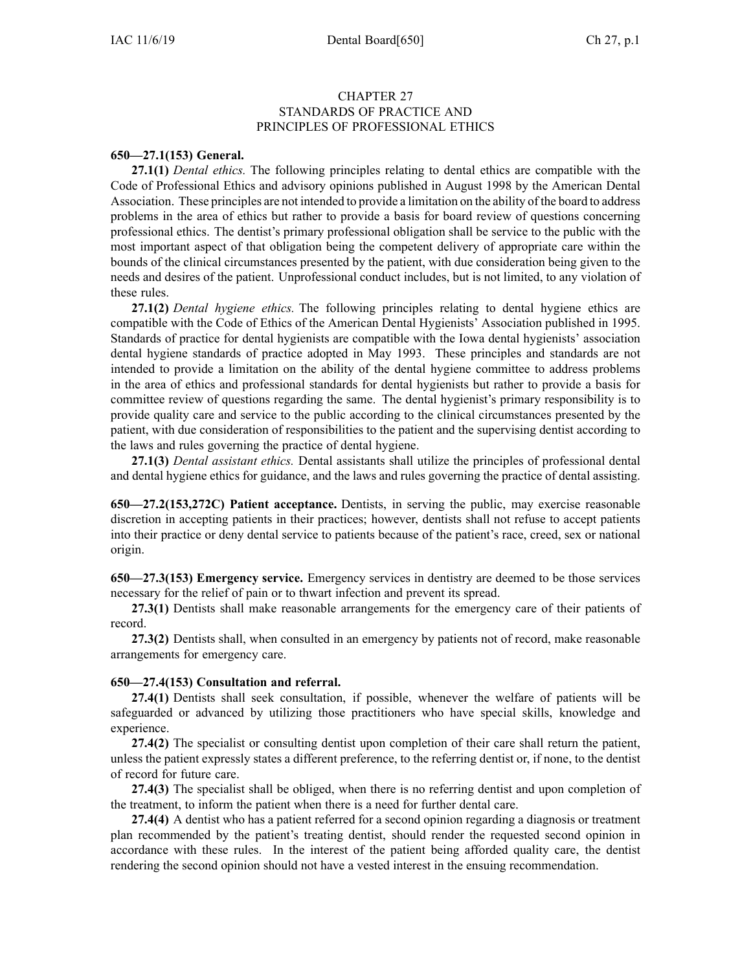## CHAPTER 27 STANDARDS OF PRACTICE AND PRINCIPLES OF PROFESSIONAL ETHICS

#### **650—27.1(153) General.**

**27.1(1)** *Dental ethics.* The following principles relating to dental ethics are compatible with the Code of Professional Ethics and advisory opinions published in August 1998 by the American Dental Association. These principles are not intended to provide <sup>a</sup> limitation on the ability of the board to address problems in the area of ethics but rather to provide <sup>a</sup> basis for board review of questions concerning professional ethics. The dentist's primary professional obligation shall be service to the public with the most important aspec<sup>t</sup> of that obligation being the competent delivery of appropriate care within the bounds of the clinical circumstances presented by the patient, with due consideration being given to the needs and desires of the patient. Unprofessional conduct includes, but is not limited, to any violation of these rules.

**27.1(2)** *Dental hygiene ethics.* The following principles relating to dental hygiene ethics are compatible with the Code of Ethics of the American Dental Hygienists' Association published in 1995. Standards of practice for dental hygienists are compatible with the Iowa dental hygienists' association dental hygiene standards of practice adopted in May 1993. These principles and standards are not intended to provide <sup>a</sup> limitation on the ability of the dental hygiene committee to address problems in the area of ethics and professional standards for dental hygienists but rather to provide <sup>a</sup> basis for committee review of questions regarding the same. The dental hygienist's primary responsibility is to provide quality care and service to the public according to the clinical circumstances presented by the patient, with due consideration of responsibilities to the patient and the supervising dentist according to the laws and rules governing the practice of dental hygiene.

**27.1(3)** *Dental assistant ethics.* Dental assistants shall utilize the principles of professional dental and dental hygiene ethics for guidance, and the laws and rules governing the practice of dental assisting.

**650—27.2(153,272C) Patient acceptance.** Dentists, in serving the public, may exercise reasonable discretion in accepting patients in their practices; however, dentists shall not refuse to accep<sup>t</sup> patients into their practice or deny dental service to patients because of the patient's race, creed, sex or national origin.

**650—27.3(153) Emergency service.** Emergency services in dentistry are deemed to be those services necessary for the relief of pain or to thwart infection and preven<sup>t</sup> its spread.

**27.3(1)** Dentists shall make reasonable arrangements for the emergency care of their patients of record.

**27.3(2)** Dentists shall, when consulted in an emergency by patients not of record, make reasonable arrangements for emergency care.

#### **650—27.4(153) Consultation and referral.**

**27.4(1)** Dentists shall seek consultation, if possible, whenever the welfare of patients will be safeguarded or advanced by utilizing those practitioners who have special skills, knowledge and experience.

**27.4(2)** The specialist or consulting dentist upon completion of their care shall return the patient, unless the patient expressly states <sup>a</sup> different preference, to the referring dentist or, if none, to the dentist of record for future care.

**27.4(3)** The specialist shall be obliged, when there is no referring dentist and upon completion of the treatment, to inform the patient when there is <sup>a</sup> need for further dental care.

**27.4(4)** A dentist who has <sup>a</sup> patient referred for <sup>a</sup> second opinion regarding <sup>a</sup> diagnosis or treatment plan recommended by the patient's treating dentist, should render the requested second opinion in accordance with these rules. In the interest of the patient being afforded quality care, the dentist rendering the second opinion should not have <sup>a</sup> vested interest in the ensuing recommendation.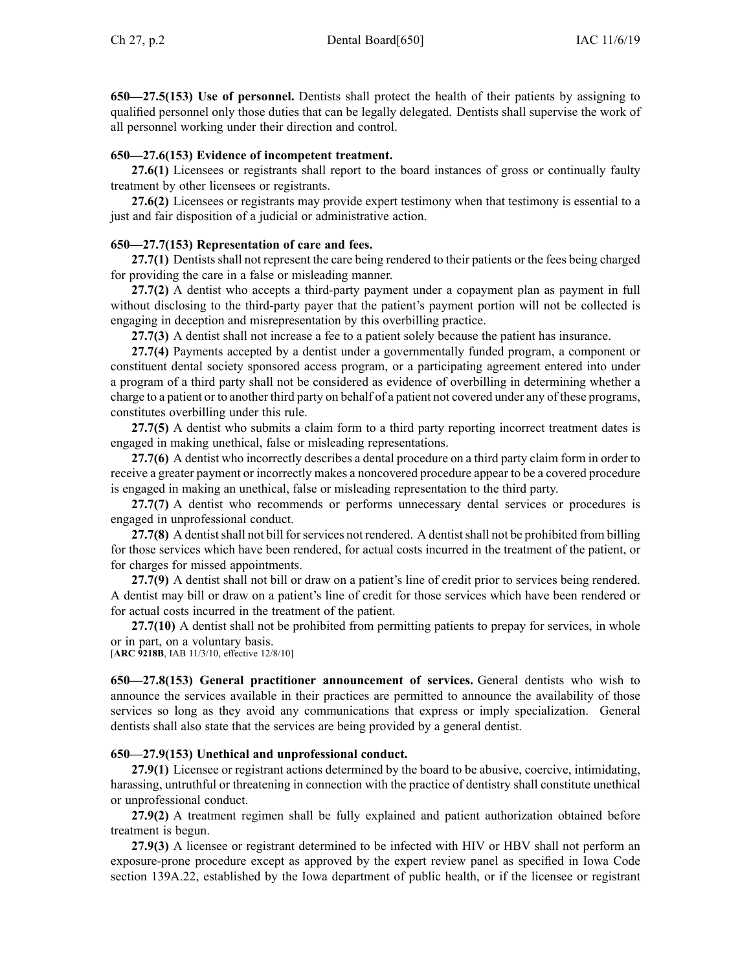**650—27.5(153) Use of personnel.** Dentists shall protect the health of their patients by assigning to qualified personnel only those duties that can be legally delegated. Dentists shall supervise the work of all personnel working under their direction and control.

## **650—27.6(153) Evidence of incompetent treatment.**

**27.6(1)** Licensees or registrants shall repor<sup>t</sup> to the board instances of gross or continually faulty treatment by other licensees or registrants.

**27.6(2)** Licensees or registrants may provide exper<sup>t</sup> testimony when that testimony is essential to <sup>a</sup> just and fair disposition of <sup>a</sup> judicial or administrative action.

## **650—27.7(153) Representation of care and fees.**

**27.7(1)** Dentists shall not represen<sup>t</sup> the care being rendered to their patients or the fees being charged for providing the care in <sup>a</sup> false or misleading manner.

**27.7(2)** A dentist who accepts <sup>a</sup> third-party paymen<sup>t</sup> under <sup>a</sup> copaymen<sup>t</sup> plan as paymen<sup>t</sup> in full without disclosing to the third-party payer that the patient's paymen<sup>t</sup> portion will not be collected is engaging in deception and misrepresentation by this overbilling practice.

**27.7(3)** A dentist shall not increase <sup>a</sup> fee to <sup>a</sup> patient solely because the patient has insurance.

**27.7(4)** Payments accepted by <sup>a</sup> dentist under <sup>a</sup> governmentally funded program, <sup>a</sup> componen<sup>t</sup> or constituent dental society sponsored access program, or <sup>a</sup> participating agreemen<sup>t</sup> entered into under <sup>a</sup> program of <sup>a</sup> third party shall not be considered as evidence of overbilling in determining whether <sup>a</sup> charge to <sup>a</sup> patient or to another third party on behalf of <sup>a</sup> patient not covered under any of these programs, constitutes overbilling under this rule.

**27.7(5)** A dentist who submits <sup>a</sup> claim form to <sup>a</sup> third party reporting incorrect treatment dates is engaged in making unethical, false or misleading representations.

**27.7(6)** A dentist who incorrectly describes <sup>a</sup> dental procedure on <sup>a</sup> third party claim form in order to receive <sup>a</sup> greater paymen<sup>t</sup> or incorrectly makes <sup>a</sup> noncovered procedure appear to be <sup>a</sup> covered procedure is engaged in making an unethical, false or misleading representation to the third party.

**27.7(7)** A dentist who recommends or performs unnecessary dental services or procedures is engaged in unprofessional conduct.

**27.7(8)** A dentist shall not bill for services not rendered. A dentist shall not be prohibited from billing for those services which have been rendered, for actual costs incurred in the treatment of the patient, or for charges for missed appointments.

**27.7(9)** A dentist shall not bill or draw on <sup>a</sup> patient's line of credit prior to services being rendered. A dentist may bill or draw on <sup>a</sup> patient's line of credit for those services which have been rendered or for actual costs incurred in the treatment of the patient.

**27.7(10)** A dentist shall not be prohibited from permitting patients to prepay for services, in whole or in part, on <sup>a</sup> voluntary basis.

[**ARC [9218B](https://www.legis.iowa.gov/docs/aco/arc/9218B.pdf)**, IAB 11/3/10, effective 12/8/10]

**650—27.8(153) General practitioner announcement of services.** General dentists who wish to announce the services available in their practices are permitted to announce the availability of those services so long as they avoid any communications that express or imply specialization. General dentists shall also state that the services are being provided by <sup>a</sup> general dentist.

# **650—27.9(153) Unethical and unprofessional conduct.**

**27.9(1)** Licensee or registrant actions determined by the board to be abusive, coercive, intimidating, harassing, untruthful or threatening in connection with the practice of dentistry shall constitute unethical or unprofessional conduct.

**27.9(2)** A treatment regimen shall be fully explained and patient authorization obtained before treatment is begun.

**27.9(3)** A licensee or registrant determined to be infected with HIV or HBV shall not perform an exposure-prone procedure excep<sup>t</sup> as approved by the exper<sup>t</sup> review panel as specified in Iowa Code section [139A.22](https://www.legis.iowa.gov/docs/ico/section/139A.22.pdf), established by the Iowa department of public health, or if the licensee or registrant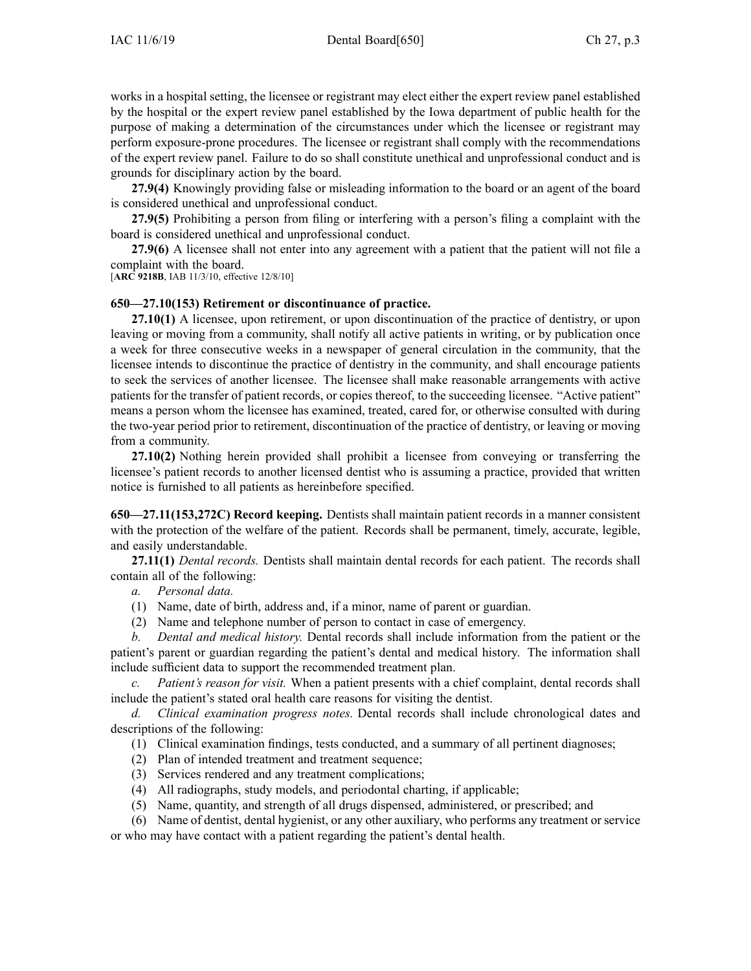works in <sup>a</sup> hospital setting, the licensee or registrant may elect either the exper<sup>t</sup> review panel established by the hospital or the exper<sup>t</sup> review panel established by the Iowa department of public health for the purpose of making <sup>a</sup> determination of the circumstances under which the licensee or registrant may perform exposure-prone procedures. The licensee or registrant shall comply with the recommendations of the exper<sup>t</sup> review panel. Failure to do so shall constitute unethical and unprofessional conduct and is grounds for disciplinary action by the board.

**27.9(4)** Knowingly providing false or misleading information to the board or an agen<sup>t</sup> of the board is considered unethical and unprofessional conduct.

**27.9(5)** Prohibiting <sup>a</sup> person from filing or interfering with <sup>a</sup> person's filing <sup>a</sup> complaint with the board is considered unethical and unprofessional conduct.

**27.9(6)** A licensee shall not enter into any agreemen<sup>t</sup> with <sup>a</sup> patient that the patient will not file <sup>a</sup> complaint with the board.

[**ARC [9218B](https://www.legis.iowa.gov/docs/aco/arc/9218B.pdf)**, IAB 11/3/10, effective 12/8/10]

## **650—27.10(153) Retirement or discontinuance of practice.**

**27.10(1)** A licensee, upon retirement, or upon discontinuation of the practice of dentistry, or upon leaving or moving from <sup>a</sup> community, shall notify all active patients in writing, or by publication once <sup>a</sup> week for three consecutive weeks in <sup>a</sup> newspaper of general circulation in the community, that the licensee intends to discontinue the practice of dentistry in the community, and shall encourage patients to seek the services of another licensee. The licensee shall make reasonable arrangements with active patients for the transfer of patient records, or copies thereof, to the succeeding licensee. "Active patient" means <sup>a</sup> person whom the licensee has examined, treated, cared for, or otherwise consulted with during the two-year period prior to retirement, discontinuation of the practice of dentistry, or leaving or moving from <sup>a</sup> community.

**27.10(2)** Nothing herein provided shall prohibit <sup>a</sup> licensee from conveying or transferring the licensee's patient records to another licensed dentist who is assuming <sup>a</sup> practice, provided that written notice is furnished to all patients as hereinbefore specified.

**650—27.11(153,272C) Record keeping.** Dentists shall maintain patient records in <sup>a</sup> manner consistent with the protection of the welfare of the patient. Records shall be permanent, timely, accurate, legible, and easily understandable.

**27.11(1)** *Dental records.* Dentists shall maintain dental records for each patient. The records shall contain all of the following:

*a. Personal data.*

- (1) Name, date of birth, address and, if <sup>a</sup> minor, name of paren<sup>t</sup> or guardian.
- (2) Name and telephone number of person to contact in case of emergency.

*b. Dental and medical history.* Dental records shall include information from the patient or the patient's paren<sup>t</sup> or guardian regarding the patient's dental and medical history. The information shall include sufficient data to suppor<sup>t</sup> the recommended treatment plan.

*c. Patient's reason for visit.* When <sup>a</sup> patient presents with <sup>a</sup> chief complaint, dental records shall include the patient's stated oral health care reasons for visiting the dentist.

*d. Clinical examination progress notes.* Dental records shall include chronological dates and descriptions of the following:

- (1) Clinical examination findings, tests conducted, and <sup>a</sup> summary of all pertinent diagnoses;
- (2) Plan of intended treatment and treatment sequence;
- (3) Services rendered and any treatment complications;
- (4) All radiographs, study models, and periodontal charting, if applicable;
- (5) Name, quantity, and strength of all drugs dispensed, administered, or prescribed; and

(6) Name of dentist, dental hygienist, or any other auxiliary, who performs any treatment or service or who may have contact with <sup>a</sup> patient regarding the patient's dental health.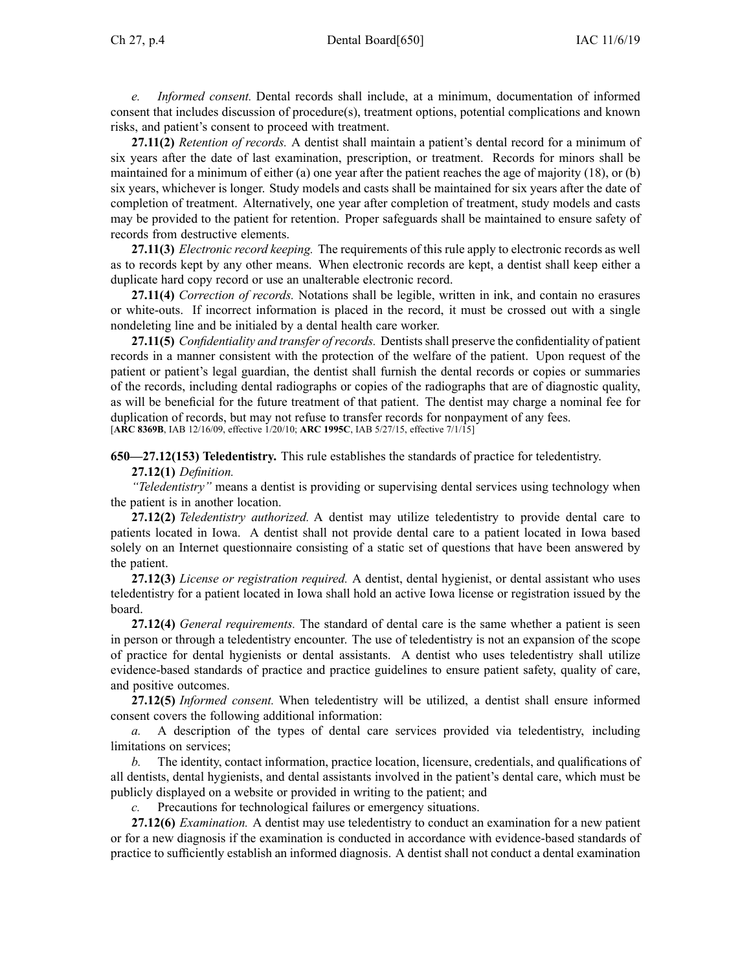*e. Informed consent.* Dental records shall include, at <sup>a</sup> minimum, documentation of informed consent that includes discussion of procedure(s), treatment options, potential complications and known risks, and patient's consent to proceed with treatment.

**27.11(2)** *Retention of records.* A dentist shall maintain <sup>a</sup> patient's dental record for <sup>a</sup> minimum of six years after the date of last examination, prescription, or treatment. Records for minors shall be maintained for <sup>a</sup> minimum of either (a) one year after the patient reaches the age of majority (18), or (b) six years, whichever is longer. Study models and casts shall be maintained for six years after the date of completion of treatment. Alternatively, one year after completion of treatment, study models and casts may be provided to the patient for retention. Proper safeguards shall be maintained to ensure safety of records from destructive elements.

**27.11(3)** *Electronic record keeping.* The requirements of this rule apply to electronic records as well as to records kept by any other means. When electronic records are kept, <sup>a</sup> dentist shall keep either <sup>a</sup> duplicate hard copy record or use an unalterable electronic record.

**27.11(4)** *Correction of records.* Notations shall be legible, written in ink, and contain no erasures or white-outs. If incorrect information is placed in the record, it must be crossed out with <sup>a</sup> single nondeleting line and be initialed by <sup>a</sup> dental health care worker.

**27.11(5)** *Confidentiality and transfer ofrecords.* Dentistsshall preserve the confidentiality of patient records in <sup>a</sup> manner consistent with the protection of the welfare of the patient. Upon reques<sup>t</sup> of the patient or patient's legal guardian, the dentist shall furnish the dental records or copies or summaries of the records, including dental radiographs or copies of the radiographs that are of diagnostic quality, as will be beneficial for the future treatment of that patient. The dentist may charge <sup>a</sup> nominal fee for duplication of records, but may not refuse to transfer records for nonpaymen<sup>t</sup> of any fees. [**ARC [8369B](https://www.legis.iowa.gov/docs/aco/arc/8369B.pdf)**, IAB 12/16/09, effective 1/20/10; **ARC [1995C](https://www.legis.iowa.gov/docs/aco/arc/1995C.pdf)**, IAB 5/27/15, effective 7/1/15]

**650—27.12(153) Teledentistry.** This rule establishes the standards of practice for teledentistry. **27.12(1)** *Definition.*

*"Teledentistry"* means <sup>a</sup> dentist is providing or supervising dental services using technology when the patient is in another location.

**27.12(2)** *Teledentistry authorized.* A dentist may utilize teledentistry to provide dental care to patients located in Iowa. A dentist shall not provide dental care to <sup>a</sup> patient located in Iowa based solely on an Internet questionnaire consisting of <sup>a</sup> static set of questions that have been answered by the patient.

**27.12(3)** *License or registration required.* A dentist, dental hygienist, or dental assistant who uses teledentistry for <sup>a</sup> patient located in Iowa shall hold an active Iowa license or registration issued by the board.

**27.12(4)** *General requirements.* The standard of dental care is the same whether <sup>a</sup> patient is seen in person or through <sup>a</sup> teledentistry encounter. The use of teledentistry is not an expansion of the scope of practice for dental hygienists or dental assistants. A dentist who uses teledentistry shall utilize evidence-based standards of practice and practice guidelines to ensure patient safety, quality of care, and positive outcomes.

**27.12(5)** *Informed consent.* When teledentistry will be utilized, <sup>a</sup> dentist shall ensure informed consent covers the following additional information:

*a.* A description of the types of dental care services provided via teledentistry, including limitations on services;

*b.* The identity, contact information, practice location, licensure, credentials, and qualifications of all dentists, dental hygienists, and dental assistants involved in the patient's dental care, which must be publicly displayed on <sup>a</sup> website or provided in writing to the patient; and

*c.* Precautions for technological failures or emergency situations.

**27.12(6)** *Examination.* A dentist may use teledentistry to conduct an examination for <sup>a</sup> new patient or for <sup>a</sup> new diagnosis if the examination is conducted in accordance with evidence-based standards of practice to sufficiently establish an informed diagnosis. A dentist shall not conduct <sup>a</sup> dental examination